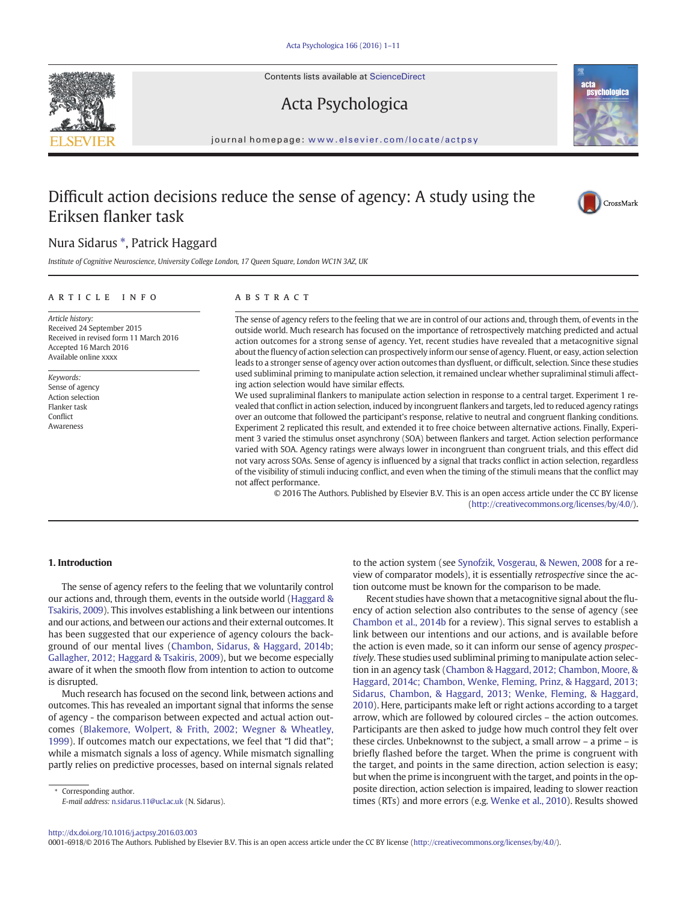Contents lists available at ScienceDirect

# Acta Psychologica

journal homepage: <www.elsevier.com/locate/actpsy>

# Difficult action decisions reduce the sense of agency: A study using the Eriksen flanker task

## Nura Sidarus ⁎, Patrick Haggard

Institute of Cognitive Neuroscience, University College London, 17 Queen Square, London WC1N 3AZ, UK

#### article info abstract

Article history: Received 24 September 2015 Received in revised form 11 March 2016 Accepted 16 March 2016 Available online xxxx

Keywords: Sense of agency Action selection Flanker task Conflict Awareness

The sense of agency refers to the feeling that we are in control of our actions and, through them, of events in the outside world. Much research has focused on the importance of retrospectively matching predicted and actual action outcomes for a strong sense of agency. Yet, recent studies have revealed that a metacognitive signal about the fluency of action selection can prospectively inform our sense of agency. Fluent, or easy, action selection leads to a stronger sense of agency over action outcomes than dysfluent, or difficult, selection. Since these studies used subliminal priming to manipulate action selection, it remained unclear whether supraliminal stimuli affecting action selection would have similar effects.

We used supraliminal flankers to manipulate action selection in response to a central target. Experiment 1 revealed that conflict in action selection, induced by incongruent flankers and targets, led to reduced agency ratings over an outcome that followed the participant's response, relative to neutral and congruent flanking conditions. Experiment 2 replicated this result, and extended it to free choice between alternative actions. Finally, Experiment 3 varied the stimulus onset asynchrony (SOA) between flankers and target. Action selection performance varied with SOA. Agency ratings were always lower in incongruent than congruent trials, and this effect did not vary across SOAs. Sense of agency is influenced by a signal that tracks conflict in action selection, regardless of the visibility of stimuli inducing conflict, and even when the timing of the stimuli means that the conflict may not affect performance.

© 2016 The Authors. Published by Elsevier B.V. This is an open access article under the CC BY license [\(http://creativecommons.org/licenses/by/4.0/\)](http://creativecommons.org/licenses/by/4.0/).

#### 1. Introduction

The sense of agency refers to the feeling that we voluntarily control our actions and, through them, events in the outside world [\(Haggard &](#page-9-0) [Tsakiris, 2009\)](#page-9-0). This involves establishing a link between our intentions and our actions, and between our actions and their external outcomes. It has been suggested that our experience of agency colours the background of our mental lives ([Chambon, Sidarus, & Haggard, 2014b;](#page-9-0) [Gallagher, 2012; Haggard & Tsakiris, 2009](#page-9-0)), but we become especially aware of it when the smooth flow from intention to action to outcome is disrupted.

Much research has focused on the second link, between actions and outcomes. This has revealed an important signal that informs the sense of agency - the comparison between expected and actual action outcomes ([Blakemore, Wolpert, & Frith, 2002; Wegner & Wheatley,](#page-9-0) [1999\)](#page-9-0). If outcomes match our expectations, we feel that "I did that"; while a mismatch signals a loss of agency. While mismatch signalling partly relies on predictive processes, based on internal signals related

Corresponding author. E-mail address: [n.sidarus.11@ucl.ac.uk](mailto:n.sidarus.11@ucl.ac.uk) (N. Sidarus). to the action system (see [Synofzik, Vosgerau, & Newen, 2008](#page-10-0) for a review of comparator models), it is essentially retrospective since the action outcome must be known for the comparison to be made.

Recent studies have shown that a metacognitive signal about the fluency of action selection also contributes to the sense of agency (see [Chambon et al., 2014b](#page-9-0) for a review). This signal serves to establish a link between our intentions and our actions, and is available before the action is even made, so it can inform our sense of agency prospectively. These studies used subliminal priming to manipulate action selection in an agency task [\(Chambon & Haggard, 2012; Chambon, Moore, &](#page-9-0) [Haggard, 2014c; Chambon, Wenke, Fleming, Prinz, & Haggard, 2013;](#page-9-0) [Sidarus, Chambon, & Haggard, 2013; Wenke, Fleming, & Haggard,](#page-9-0) [2010](#page-9-0)). Here, participants make left or right actions according to a target arrow, which are followed by coloured circles – the action outcomes. Participants are then asked to judge how much control they felt over these circles. Unbeknownst to the subject, a small arrow – a prime – is briefly flashed before the target. When the prime is congruent with the target, and points in the same direction, action selection is easy; but when the prime is incongruent with the target, and points in the opposite direction, action selection is impaired, leading to slower reaction times (RTs) and more errors (e.g. [Wenke et al., 2010](#page-10-0)). Results showed

<http://dx.doi.org/10.1016/j.actpsy.2016.03.003>

0001-6918/© 2016 The Authors. Published by Elsevier B.V. This is an open access article under the CC BY license (<http://creativecommons.org/licenses/by/4.0/>).





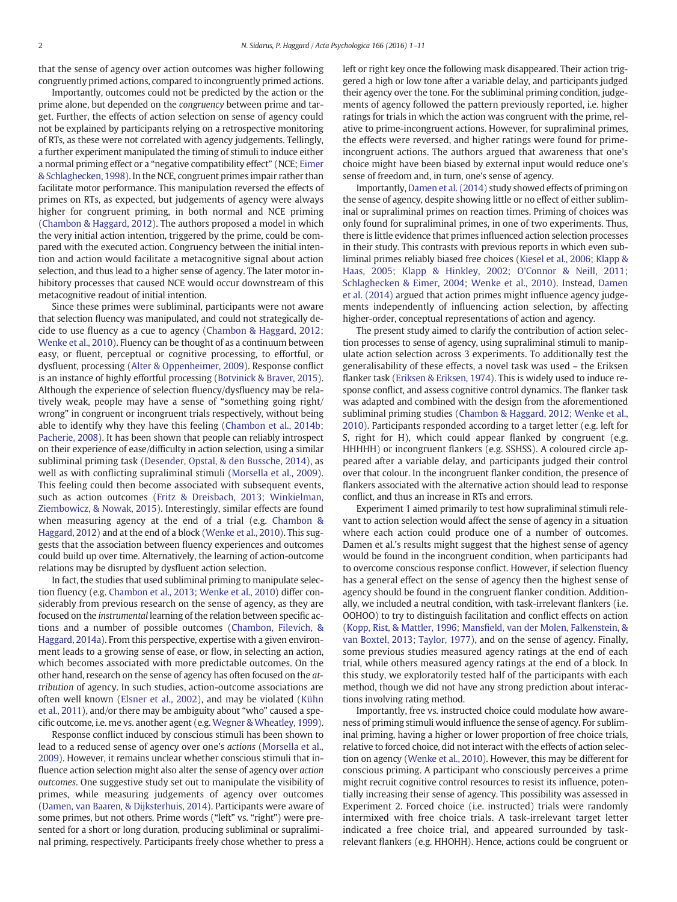that the sense of agency over action outcomes was higher following congruently primed actions, compared to incongruently primed actions.

Importantly, outcomes could not be predicted by the action or the prime alone, but depended on the congruency between prime and target. Further, the effects of action selection on sense of agency could not be explained by participants relying on a retrospective monitoring of RTs, as these were not correlated with agency judgements. Tellingly, a further experiment manipulated the timing of stimuli to induce either a normal priming effect or a "negative compatibility effect" (NCE; [Eimer](#page-9-0) [& Schlaghecken, 1998\)](#page-9-0). In the NCE, congruent primes impair rather than facilitate motor performance. This manipulation reversed the effects of primes on RTs, as expected, but judgements of agency were always higher for congruent priming, in both normal and NCE priming [\(Chambon & Haggard, 2012\)](#page-9-0). The authors proposed a model in which the very initial action intention, triggered by the prime, could be compared with the executed action. Congruency between the initial intention and action would facilitate a metacognitive signal about action selection, and thus lead to a higher sense of agency. The later motor inhibitory processes that caused NCE would occur downstream of this metacognitive readout of initial intention.

Since these primes were subliminal, participants were not aware that selection fluency was manipulated, and could not strategically decide to use fluency as a cue to agency ([Chambon & Haggard, 2012;](#page-9-0) [Wenke et al., 2010\)](#page-9-0). Fluency can be thought of as a continuum between easy, or fluent, perceptual or cognitive processing, to effortful, or dysfluent, processing [\(Alter & Oppenheimer, 2009\)](#page-9-0). Response conflict is an instance of highly effortful processing ([Botvinick & Braver, 2015\)](#page-9-0). Although the experience of selection fluency/dysfluency may be relatively weak, people may have a sense of "something going right/ wrong" in congruent or incongruent trials respectively, without being able to identify why they have this feeling ([Chambon et al., 2014b;](#page-9-0) [Pacherie, 2008](#page-9-0)). It has been shown that people can reliably introspect on their experience of ease/difficulty in action selection, using a similar subliminal priming task [\(Desender, Opstal, & den Bussche, 2014](#page-9-0)), as well as with conflicting supraliminal stimuli ([Morsella et al., 2009](#page-10-0)). This feeling could then become associated with subsequent events, such as action outcomes [\(Fritz & Dreisbach, 2013; Winkielman,](#page-9-0) [Ziembowicz, & Nowak, 2015](#page-9-0)). Interestingly, similar effects are found when measuring agency at the end of a trial (e.g. [Chambon &](#page-9-0) [Haggard, 2012\)](#page-9-0) and at the end of a block [\(Wenke et al., 2010](#page-10-0)). This suggests that the association between fluency experiences and outcomes could build up over time. Alternatively, the learning of action-outcome relations may be disrupted by dysfluent action selection.

In fact, the studies that used subliminal priming to manipulate selection fluency (e.g. [Chambon et al., 2013; Wenke et al., 2010](#page-9-0)) differ considerably from previous research on the sense of agency, as they are focused on the instrumental learning of the relation between specific actions and a number of possible outcomes ([Chambon, Filevich, &](#page-9-0) [Haggard, 2014a\)](#page-9-0). From this perspective, expertise with a given environment leads to a growing sense of ease, or flow, in selecting an action, which becomes associated with more predictable outcomes. On the other hand, research on the sense of agency has often focused on the attribution of agency. In such studies, action-outcome associations are often well known [\(Elsner et al., 2002\)](#page-9-0), and may be violated ([Kühn](#page-9-0) [et al., 2011\)](#page-9-0), and/or there may be ambiguity about "who" caused a specific outcome, i.e. me vs. another agent (e.g. [Wegner & Wheatley, 1999\)](#page-10-0).

Response conflict induced by conscious stimuli has been shown to lead to a reduced sense of agency over one's actions ([Morsella et al.,](#page-10-0) [2009\)](#page-10-0). However, it remains unclear whether conscious stimuli that influence action selection might also alter the sense of agency over action outcomes. One suggestive study set out to manipulate the visibility of primes, while measuring judgements of agency over outcomes [\(Damen, van Baaren, & Dijksterhuis, 2014](#page-9-0)). Participants were aware of some primes, but not others. Prime words ("left" vs. "right") were presented for a short or long duration, producing subliminal or supraliminal priming, respectively. Participants freely chose whether to press a

left or right key once the following mask disappeared. Their action triggered a high or low tone after a variable delay, and participants judged their agency over the tone. For the subliminal priming condition, judgements of agency followed the pattern previously reported, i.e. higher ratings for trials in which the action was congruent with the prime, relative to prime-incongruent actions. However, for supraliminal primes, the effects were reversed, and higher ratings were found for primeincongruent actions. The authors argued that awareness that one's choice might have been biased by external input would reduce one's sense of freedom and, in turn, one's sense of agency.

Importantly, [Damen et al. \(2014\)](#page-9-0) study showed effects of priming on the sense of agency, despite showing little or no effect of either subliminal or supraliminal primes on reaction times. Priming of choices was only found for supraliminal primes, in one of two experiments. Thus, there is little evidence that primes influenced action selection processes in their study. This contrasts with previous reports in which even subliminal primes reliably biased free choices [\(Kiesel et al., 2006; Klapp &](#page-9-0) [Haas, 2005; Klapp & Hinkley, 2002; O'Connor & Neill, 2011;](#page-9-0) [Schlaghecken & Eimer, 2004; Wenke et al., 2010](#page-9-0)). Instead, [Damen](#page-9-0) [et al. \(2014\)](#page-9-0) argued that action primes might influence agency judgements independently of influencing action selection, by affecting higher-order, conceptual representations of action and agency.

The present study aimed to clarify the contribution of action selection processes to sense of agency, using supraliminal stimuli to manipulate action selection across 3 experiments. To additionally test the generalisability of these effects, a novel task was used – the Eriksen flanker task [\(Eriksen & Eriksen, 1974\)](#page-9-0). This is widely used to induce response conflict, and assess cognitive control dynamics. The flanker task was adapted and combined with the design from the aforementioned subliminal priming studies [\(Chambon & Haggard, 2012; Wenke et al.,](#page-9-0) [2010\)](#page-9-0). Participants responded according to a target letter (e.g. left for S, right for H), which could appear flanked by congruent (e.g. HHHHH) or incongruent flankers (e.g. SSHSS). A coloured circle appeared after a variable delay, and participants judged their control over that colour. In the incongruent flanker condition, the presence of flankers associated with the alternative action should lead to response conflict, and thus an increase in RTs and errors.

Experiment 1 aimed primarily to test how supraliminal stimuli relevant to action selection would affect the sense of agency in a situation where each action could produce one of a number of outcomes. Damen et al.'s results might suggest that the highest sense of agency would be found in the incongruent condition, when participants had to overcome conscious response conflict. However, if selection fluency has a general effect on the sense of agency then the highest sense of agency should be found in the congruent flanker condition. Additionally, we included a neutral condition, with task-irrelevant flankers (i.e. OOHOO) to try to distinguish facilitation and conflict effects on action (Kopp, Rist, & Mattler, 1996; Mansfi[eld, van der Molen, Falkenstein, &](#page-9-0) [van Boxtel, 2013; Taylor, 1977](#page-9-0)), and on the sense of agency. Finally, some previous studies measured agency ratings at the end of each trial, while others measured agency ratings at the end of a block. In this study, we exploratorily tested half of the participants with each method, though we did not have any strong prediction about interactions involving rating method.

Importantly, free vs. instructed choice could modulate how awareness of priming stimuli would influence the sense of agency. For subliminal priming, having a higher or lower proportion of free choice trials, relative to forced choice, did not interact with the effects of action selection on agency [\(Wenke et al., 2010](#page-10-0)). However, this may be different for conscious priming. A participant who consciously perceives a prime might recruit cognitive control resources to resist its influence, potentially increasing their sense of agency. This possibility was assessed in Experiment 2. Forced choice (i.e. instructed) trials were randomly intermixed with free choice trials. A task-irrelevant target letter indicated a free choice trial, and appeared surrounded by taskrelevant flankers (e.g. HHOHH). Hence, actions could be congruent or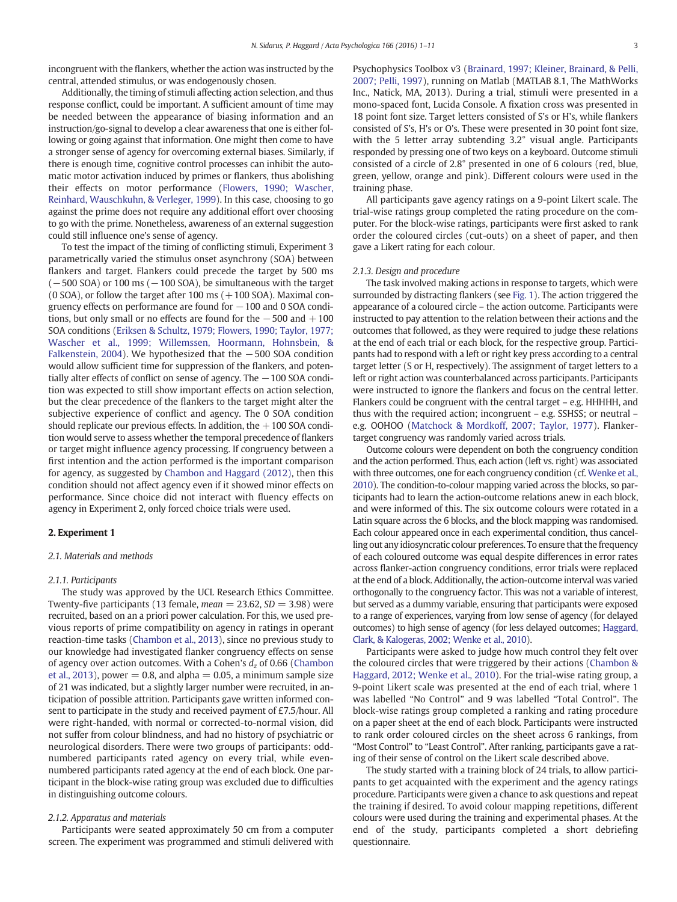incongruent with the flankers, whether the action was instructed by the central, attended stimulus, or was endogenously chosen.

Additionally, the timing of stimuli affecting action selection, and thus response conflict, could be important. A sufficient amount of time may be needed between the appearance of biasing information and an instruction/go-signal to develop a clear awareness that one is either following or going against that information. One might then come to have a stronger sense of agency for overcoming external biases. Similarly, if there is enough time, cognitive control processes can inhibit the automatic motor activation induced by primes or flankers, thus abolishing their effects on motor performance ([Flowers, 1990; Wascher,](#page-9-0) [Reinhard, Wauschkuhn, & Verleger, 1999\)](#page-9-0). In this case, choosing to go against the prime does not require any additional effort over choosing to go with the prime. Nonetheless, awareness of an external suggestion could still influence one's sense of agency.

To test the impact of the timing of conflicting stimuli, Experiment 3 parametrically varied the stimulus onset asynchrony (SOA) between flankers and target. Flankers could precede the target by 500 ms  $(-500 SOA)$  or 100 ms  $(-100 SOA)$ , be simultaneous with the target (0 SOA), or follow the target after 100 ms  $(+100$  SOA). Maximal congruency effects on performance are found for −100 and 0 SOA conditions, but only small or no effects are found for the  $-500$  and  $+100$ SOA conditions ([Eriksen & Schultz, 1979; Flowers, 1990; Taylor, 1977;](#page-9-0) [Wascher et al., 1999; Willemssen, Hoormann, Hohnsbein, &](#page-9-0) [Falkenstein, 2004\)](#page-9-0). We hypothesized that the −500 SOA condition would allow sufficient time for suppression of the flankers, and potentially alter effects of conflict on sense of agency. The −100 SOA condition was expected to still show important effects on action selection, but the clear precedence of the flankers to the target might alter the subjective experience of conflict and agency. The 0 SOA condition should replicate our previous effects. In addition, the  $+100$  SOA condition would serve to assess whether the temporal precedence of flankers or target might influence agency processing. If congruency between a first intention and the action performed is the important comparison for agency, as suggested by [Chambon and Haggard \(2012\),](#page-9-0) then this condition should not affect agency even if it showed minor effects on performance. Since choice did not interact with fluency effects on agency in Experiment 2, only forced choice trials were used.

#### 2. Experiment 1

#### 2.1. Materials and methods

#### 2.1.1. Participants

The study was approved by the UCL Research Ethics Committee. Twenty-five participants (13 female,  $mean = 23.62$ ,  $SD = 3.98$ ) were recruited, based on an a priori power calculation. For this, we used previous reports of prime compatibility on agency in ratings in operant reaction-time tasks [\(Chambon et al., 2013](#page-9-0)), since no previous study to our knowledge had investigated flanker congruency effects on sense of agency over action outcomes. With a Cohen's  $d_z$  of 0.66 ([Chambon](#page-9-0) [et al., 2013](#page-9-0)), power  $= 0.8$ , and alpha  $= 0.05$ , a minimum sample size of 21 was indicated, but a slightly larger number were recruited, in anticipation of possible attrition. Participants gave written informed consent to participate in the study and received payment of £7.5/hour. All were right-handed, with normal or corrected-to-normal vision, did not suffer from colour blindness, and had no history of psychiatric or neurological disorders. There were two groups of participants: oddnumbered participants rated agency on every trial, while evennumbered participants rated agency at the end of each block. One participant in the block-wise rating group was excluded due to difficulties in distinguishing outcome colours.

#### 2.1.2. Apparatus and materials

Participants were seated approximately 50 cm from a computer screen. The experiment was programmed and stimuli delivered with Psychophysics Toolbox v3 ([Brainard, 1997; Kleiner, Brainard, & Pelli,](#page-9-0) [2007; Pelli, 1997](#page-9-0)), running on Matlab (MATLAB 8.1, The MathWorks Inc., Natick, MA, 2013). During a trial, stimuli were presented in a mono-spaced font, Lucida Console. A fixation cross was presented in 18 point font size. Target letters consisted of S's or H's, while flankers consisted of S's, H's or O's. These were presented in 30 point font size, with the 5 letter array subtending 3.2° visual angle. Participants responded by pressing one of two keys on a keyboard. Outcome stimuli consisted of a circle of 2.8° presented in one of 6 colours (red, blue, green, yellow, orange and pink). Different colours were used in the training phase.

All participants gave agency ratings on a 9-point Likert scale. The trial-wise ratings group completed the rating procedure on the computer. For the block-wise ratings, participants were first asked to rank order the coloured circles (cut-outs) on a sheet of paper, and then gave a Likert rating for each colour.

#### 2.1.3. Design and procedure

The task involved making actions in response to targets, which were surrounded by distracting flankers (see [Fig. 1\)](#page-3-0). The action triggered the appearance of a coloured circle – the action outcome. Participants were instructed to pay attention to the relation between their actions and the outcomes that followed, as they were required to judge these relations at the end of each trial or each block, for the respective group. Participants had to respond with a left or right key press according to a central target letter (S or H, respectively). The assignment of target letters to a left or right action was counterbalanced across participants. Participants were instructed to ignore the flankers and focus on the central letter. Flankers could be congruent with the central target – e.g. HHHHH, and thus with the required action; incongruent – e.g. SSHSS; or neutral – e.g. OOHOO [\(Matchock & Mordkoff, 2007; Taylor, 1977](#page-10-0)). Flankertarget congruency was randomly varied across trials.

Outcome colours were dependent on both the congruency condition and the action performed. Thus, each action (left vs. right) was associated with three outcomes, one for each congruency condition (cf. [Wenke et al.,](#page-10-0) [2010\)](#page-10-0). The condition-to-colour mapping varied across the blocks, so participants had to learn the action-outcome relations anew in each block, and were informed of this. The six outcome colours were rotated in a Latin square across the 6 blocks, and the block mapping was randomised. Each colour appeared once in each experimental condition, thus cancelling out any idiosyncratic colour preferences. To ensure that the frequency of each coloured outcome was equal despite differences in error rates across flanker-action congruency conditions, error trials were replaced at the end of a block. Additionally, the action-outcome interval was varied orthogonally to the congruency factor. This was not a variable of interest, but served as a dummy variable, ensuring that participants were exposed to a range of experiences, varying from low sense of agency (for delayed outcomes) to high sense of agency (for less delayed outcomes; [Haggard,](#page-9-0) [Clark, & Kalogeras, 2002; Wenke et al., 2010](#page-9-0)).

Participants were asked to judge how much control they felt over the coloured circles that were triggered by their actions [\(Chambon &](#page-9-0) [Haggard, 2012; Wenke et al., 2010\)](#page-9-0). For the trial-wise rating group, a 9-point Likert scale was presented at the end of each trial, where 1 was labelled "No Control" and 9 was labelled "Total Control". The block-wise ratings group completed a ranking and rating procedure on a paper sheet at the end of each block. Participants were instructed to rank order coloured circles on the sheet across 6 rankings, from "Most Control" to "Least Control". After ranking, participants gave a rating of their sense of control on the Likert scale described above.

The study started with a training block of 24 trials, to allow participants to get acquainted with the experiment and the agency ratings procedure. Participants were given a chance to ask questions and repeat the training if desired. To avoid colour mapping repetitions, different colours were used during the training and experimental phases. At the end of the study, participants completed a short debriefing questionnaire.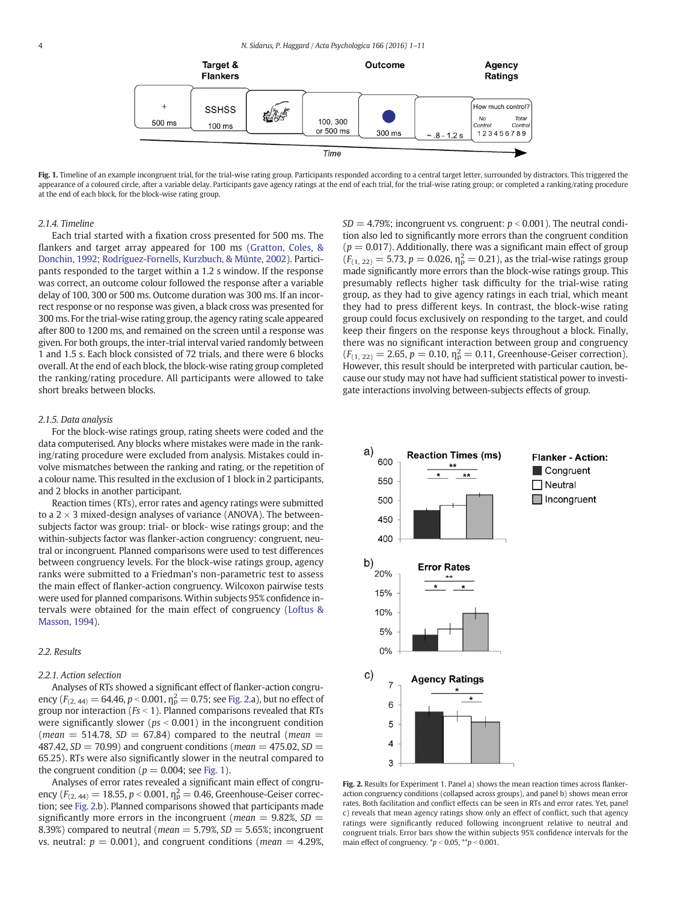<span id="page-3-0"></span>

Fig. 1. Timeline of an example incongruent trial, for the trial-wise rating group. Participants responded according to a central target letter, surrounded by distractors. This triggered the appearance of a coloured circle, after a variable delay. Participants gave agency ratings at the end of each trial, for the trial-wise rating group; or completed a ranking/rating procedure at the end of each block, for the block-wise rating group.

#### 2.1.4. Timeline

Each trial started with a fixation cross presented for 500 ms. The flankers and target array appeared for 100 ms [\(Gratton, Coles, &](#page-9-0) Donchin, 1992; Rodrí[guez-Fornells, Kurzbuch, & Münte, 2002](#page-9-0)). Participants responded to the target within a 1.2 s window. If the response was correct, an outcome colour followed the response after a variable delay of 100, 300 or 500 ms. Outcome duration was 300 ms. If an incorrect response or no response was given, a black cross was presented for 300 ms. For the trial-wise rating group, the agency rating scale appeared after 800 to 1200 ms, and remained on the screen until a response was given. For both groups, the inter-trial interval varied randomly between 1 and 1.5 s. Each block consisted of 72 trials, and there were 6 blocks overall. At the end of each block, the block-wise rating group completed the ranking/rating procedure. All participants were allowed to take short breaks between blocks.

#### 2.1.5. Data analysis

For the block-wise ratings group, rating sheets were coded and the data computerised. Any blocks where mistakes were made in the ranking/rating procedure were excluded from analysis. Mistakes could involve mismatches between the ranking and rating, or the repetition of a colour name. This resulted in the exclusion of 1 block in 2 participants, and 2 blocks in another participant.

Reaction times (RTs), error rates and agency ratings were submitted to a  $2 \times 3$  mixed-design analyses of variance (ANOVA). The betweensubjects factor was group: trial- or block- wise ratings group; and the within-subjects factor was flanker-action congruency: congruent, neutral or incongruent. Planned comparisons were used to test differences between congruency levels. For the block-wise ratings group, agency ranks were submitted to a Friedman's non-parametric test to assess the main effect of flanker-action congruency. Wilcoxon pairwise tests were used for planned comparisons. Within subjects 95% confidence intervals were obtained for the main effect of congruency ([Loftus &](#page-9-0) [Masson, 1994](#page-9-0)).

#### 2.2. Results

#### 2.2.1. Action selection

Analyses of RTs showed a significant effect of flanker-action congruency ( $F_{(2,44)} = 64.46$ ,  $p < 0.001$ ,  $\eta_{\rm p}^2 = 0.75$ ; see Fig. 2.a), but no effect of group nor interaction ( $Fs < 1$ ). Planned comparisons revealed that RTs were significantly slower ( $ps < 0.001$ ) in the incongruent condition (mean = 514.78,  $SD = 67.84$ ) compared to the neutral (mean = 487.42,  $SD = 70.99$ ) and congruent conditions (*mean* = 475.02,  $SD =$ 65.25). RTs were also significantly slower in the neutral compared to the congruent condition ( $p = 0.004$ ; see Fig. 1).

Analyses of error rates revealed a significant main effect of congruency ( $F_{(2,44)} = 18.55$ ,  $p < 0.001$ ,  $\eta_p^2 = 0.46$ , Greenhouse-Geiser correction; see Fig. 2.b). Planned comparisons showed that participants made significantly more errors in the incongruent (*mean*  $= 9.82\%$ , SD  $=$ 8.39%) compared to neutral (*mean*  $=$  5.79%, *SD*  $=$  5.65%; incongruent vs. neutral:  $p = 0.001$ ), and congruent conditions (*mean* = 4.29%,  $SD = 4.79\%$ ; incongruent vs. congruent:  $p < 0.001$ ). The neutral condition also led to significantly more errors than the congruent condition  $(p = 0.017)$ . Additionally, there was a significant main effect of group  $(F_{(1, 22)} = 5.73, p = 0.026, \eta_{\rm p}^2 = 0.21)$ , as the trial-wise ratings group made significantly more errors than the block-wise ratings group. This presumably reflects higher task difficulty for the trial-wise rating group, as they had to give agency ratings in each trial, which meant they had to press different keys. In contrast, the block-wise rating group could focus exclusively on responding to the target, and could keep their fingers on the response keys throughout a block. Finally, there was no significant interaction between group and congruency  $(F_{(1, 22)} = 2.65, p = 0.10, \eta_{\rm p}^2 = 0.11,$  Greenhouse-Geiser correction). However, this result should be interpreted with particular caution, because our study may not have had sufficient statistical power to investigate interactions involving between-subjects effects of group.



Fig. 2. Results for Experiment 1. Panel a) shows the mean reaction times across flankeraction congruency conditions (collapsed across groups), and panel b) shows mean error rates. Both facilitation and conflict effects can be seen in RTs and error rates. Yet, panel c) reveals that mean agency ratings show only an effect of conflict, such that agency ratings were significantly reduced following incongruent relative to neutral and congruent trials. Error bars show the within subjects 95% confidence intervals for the main effect of congruency.  $\frac{*p}{0.05}$ ,  $\frac{*p}{0.001}$ .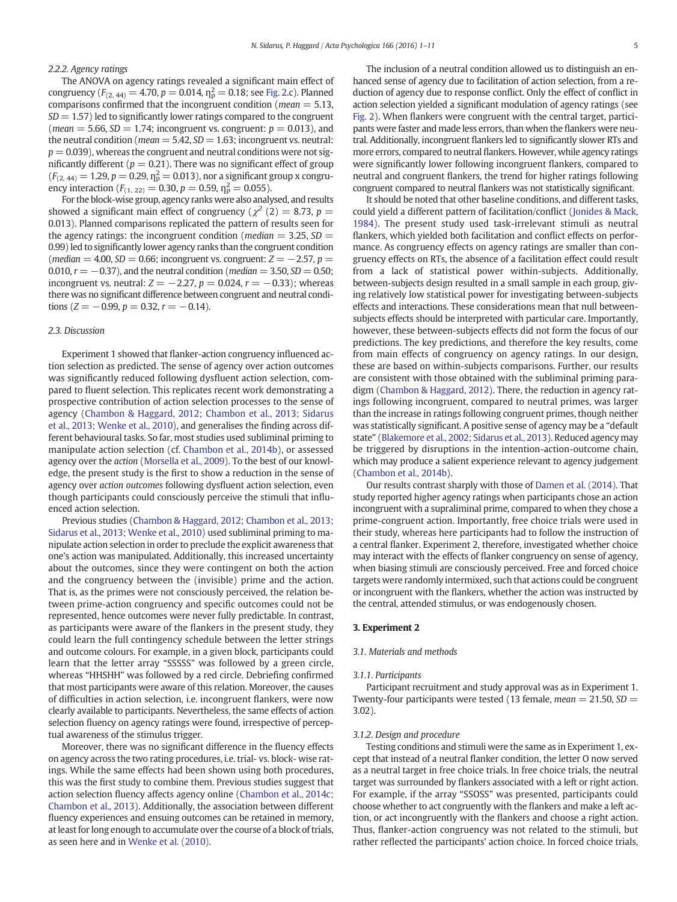### 2.2.2. Agency ratings

The ANOVA on agency ratings revealed a significant main effect of congruency ( $F_{(2,44)} = 4.70, p = 0.014, \eta_{\rm p}^2 = 0.18$ ; see [Fig. 2](#page-3-0).c). Planned comparisons confirmed that the incongruent condition ( $mean = 5.13$ ,  $SD = 1.57$ ) led to significantly lower ratings compared to the congruent (*mean* = 5.66,  $SD = 1.74$ ; incongruent vs. congruent:  $p = 0.013$ ), and the neutral condition ( $mean = 5.42$ ,  $SD = 1.63$ ; incongruent vs. neutral:  $p = 0.039$ ), whereas the congruent and neutral conditions were not significantly different ( $p = 0.21$ ). There was no significant effect of group  $(F_{(2,44)} = 1.29, p = 0.29, \eta_{\rm p}^2 = 0.013)$ , nor a significant group x congruency interaction ( $F_{(1,\ 22)} = 0.30, p = 0.59, \eta_{\rm p}^2 = 0.055$ ).

For the block-wise group, agency ranks were also analysed, and results showed a significant main effect of congruency ( $\chi^2$  (2) = 8.73, p = 0.013). Planned comparisons replicated the pattern of results seen for the agency ratings: the incongruent condition (*median*  $=$  3.25, *SD*  $=$ 0.99) led to significantly lower agency ranks than the congruent condition (*median* = 4.00,  $SD = 0.66$ ; incongruent vs. congruent:  $Z = -2.57$ ,  $p =$ 0.010,  $r = -0.37$ ), and the neutral condition (*median* = 3.50, SD = 0.50; incongruent vs. neutral:  $Z = -2.27$ ,  $p = 0.024$ ,  $r = -0.33$ ); whereas there was no significant difference between congruent and neutral conditions ( $Z = -0.99$ ,  $p = 0.32$ ,  $r = -0.14$ ).

#### 2.3. Discussion

Experiment 1 showed that flanker-action congruency influenced action selection as predicted. The sense of agency over action outcomes was significantly reduced following dysfluent action selection, compared to fluent selection. This replicates recent work demonstrating a prospective contribution of action selection processes to the sense of agency ([Chambon & Haggard, 2012; Chambon et al., 2013; Sidarus](#page-9-0) [et al., 2013; Wenke et al., 2010\)](#page-9-0), and generalises the finding across different behavioural tasks. So far, most studies used subliminal priming to manipulate action selection (cf. [Chambon et al., 2014b](#page-9-0)), or assessed agency over the action ([Morsella et al., 2009](#page-10-0)). To the best of our knowledge, the present study is the first to show a reduction in the sense of agency over action outcomes following dysfluent action selection, even though participants could consciously perceive the stimuli that influenced action selection.

Previous studies [\(Chambon & Haggard, 2012; Chambon et al., 2013;](#page-9-0) [Sidarus et al., 2013; Wenke et al., 2010\)](#page-9-0) used subliminal priming to manipulate action selection in order to preclude the explicit awareness that one's action was manipulated. Additionally, this increased uncertainty about the outcomes, since they were contingent on both the action and the congruency between the (invisible) prime and the action. That is, as the primes were not consciously perceived, the relation between prime-action congruency and specific outcomes could not be represented, hence outcomes were never fully predictable. In contrast, as participants were aware of the flankers in the present study, they could learn the full contingency schedule between the letter strings and outcome colours. For example, in a given block, participants could learn that the letter array "SSSSS" was followed by a green circle, whereas "HHSHH" was followed by a red circle. Debriefing confirmed that most participants were aware of this relation. Moreover, the causes of difficulties in action selection, i.e. incongruent flankers, were now clearly available to participants. Nevertheless, the same effects of action selection fluency on agency ratings were found, irrespective of perceptual awareness of the stimulus trigger.

Moreover, there was no significant difference in the fluency effects on agency across the two rating procedures, i.e. trial- vs. block- wise ratings. While the same effects had been shown using both procedures, this was the first study to combine them. Previous studies suggest that action selection fluency affects agency online [\(Chambon et al., 2014c;](#page-9-0) [Chambon et al., 2013](#page-9-0)). Additionally, the association between different fluency experiences and ensuing outcomes can be retained in memory, at least for long enough to accumulate over the course of a block of trials, as seen here and in [Wenke et al. \(2010\).](#page-10-0)

The inclusion of a neutral condition allowed us to distinguish an enhanced sense of agency due to facilitation of action selection, from a reduction of agency due to response conflict. Only the effect of conflict in action selection yielded a significant modulation of agency ratings (see [Fig. 2](#page-3-0)). When flankers were congruent with the central target, participants were faster and made less errors, than when the flankers were neutral. Additionally, incongruent flankers led to significantly slower RTs and more errors, compared to neutral flankers. However, while agency ratings were significantly lower following incongruent flankers, compared to neutral and congruent flankers, the trend for higher ratings following congruent compared to neutral flankers was not statistically significant.

It should be noted that other baseline conditions, and different tasks, could yield a different pattern of facilitation/conflict [\(Jonides & Mack,](#page-9-0) [1984\)](#page-9-0). The present study used task-irrelevant stimuli as neutral flankers, which yielded both facilitation and conflict effects on performance. As congruency effects on agency ratings are smaller than congruency effects on RTs, the absence of a facilitation effect could result from a lack of statistical power within-subjects. Additionally, between-subjects design resulted in a small sample in each group, giving relatively low statistical power for investigating between-subjects effects and interactions. These considerations mean that null betweensubjects effects should be interpreted with particular care. Importantly, however, these between-subjects effects did not form the focus of our predictions. The key predictions, and therefore the key results, come from main effects of congruency on agency ratings. In our design, these are based on within-subjects comparisons. Further, our results are consistent with those obtained with the subliminal priming paradigm [\(Chambon & Haggard, 2012](#page-9-0)). There, the reduction in agency ratings following incongruent, compared to neutral primes, was larger than the increase in ratings following congruent primes, though neither was statistically significant. A positive sense of agency may be a "default state" ([Blakemore et al., 2002; Sidarus et al., 2013](#page-9-0)). Reduced agency may be triggered by disruptions in the intention-action-outcome chain, which may produce a salient experience relevant to agency judgement [\(Chambon et al., 2014b](#page-9-0)).

Our results contrast sharply with those of [Damen et al. \(2014\).](#page-9-0) That study reported higher agency ratings when participants chose an action incongruent with a supraliminal prime, compared to when they chose a prime-congruent action. Importantly, free choice trials were used in their study, whereas here participants had to follow the instruction of a central flanker. Experiment 2, therefore, investigated whether choice may interact with the effects of flanker congruency on sense of agency, when biasing stimuli are consciously perceived. Free and forced choice targets were randomly intermixed, such that actions could be congruent or incongruent with the flankers, whether the action was instructed by the central, attended stimulus, or was endogenously chosen.

#### 3. Experiment 2

#### 3.1. Materials and methods

#### 3.1.1. Participants

Participant recruitment and study approval was as in Experiment 1. Twenty-four participants were tested (13 female, mean  $= 21.50$ , SD  $=$ 3.02).

#### 3.1.2. Design and procedure

Testing conditions and stimuli were the same as in Experiment 1, except that instead of a neutral flanker condition, the letter O now served as a neutral target in free choice trials. In free choice trials, the neutral target was surrounded by flankers associated with a left or right action. For example, if the array "SSOSS" was presented, participants could choose whether to act congruently with the flankers and make a left action, or act incongruently with the flankers and choose a right action. Thus, flanker-action congruency was not related to the stimuli, but rather reflected the participants' action choice. In forced choice trials,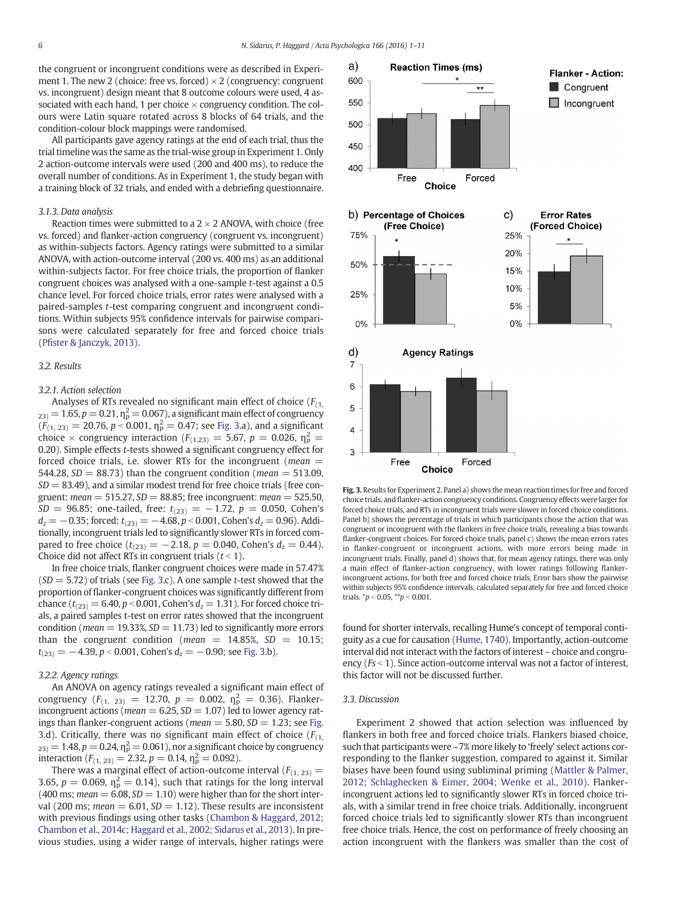the congruent or incongruent conditions were as described in Experiment 1. The new 2 (choice: free vs. forced)  $\times$  2 (congruency: congruent vs. incongruent) design meant that 8 outcome colours were used, 4 associated with each hand, 1 per choice  $\times$  congruency condition. The colours were Latin square rotated across 8 blocks of 64 trials, and the condition-colour block mappings were randomised.

All participants gave agency ratings at the end of each trial, thus the trial timeline was the same as the trial-wise group in Experiment 1. Only 2 action-outcome intervals were used (200 and 400 ms), to reduce the overall number of conditions. As in Experiment 1, the study began with a training block of 32 trials, and ended with a debriefing questionnaire.

#### 3.1.3. Data analysis

Reaction times were submitted to a  $2 \times 2$  ANOVA, with choice (free vs. forced) and flanker-action congruency (congruent vs. incongruent) as within-subjects factors. Agency ratings were submitted to a similar ANOVA, with action-outcome interval (200 vs. 400 ms) as an additional within-subjects factor. For free choice trials, the proportion of flanker congruent choices was analysed with a one-sample t-test against a 0.5 chance level. For forced choice trials, error rates were analysed with a paired-samples t-test comparing congruent and incongruent conditions. Within subjects 95% confidence intervals for pairwise comparisons were calculated separately for free and forced choice trials (Pfi[ster & Janczyk, 2013\)](#page-10-0).

#### 3.2. Results

#### 3.2.1. Action selection

Analyses of RTs revealed no significant main effect of choice  $(F_{(1)})$  $\alpha_{23)}$   $= 1.65$ ,  $p = 0.21$ ,  $\eta_{\rm p}^2$   $= 0.067$  ), a significant main effect of congruency  $(F_{(1, 23)} = 20.76, p < 0.001, \eta_{p}^{2} = 0.47$ ; see Fig. 3.a), and a significant choice  $\times$  congruency interaction ( $F_{(1,23)} = 5.67$ ,  $p = 0.026$ ,  $\eta_{\rm p}^2 =$ 0.20). Simple effects t-tests showed a significant congruency effect for forced choice trials, i.e. slower RTs for the incongruent (mean  $=$ 544.28,  $SD = 88.73$ ) than the congruent condition (*mean* = 513.09,  $SD = 83.49$ ), and a similar modest trend for free choice trials (free congruent:  $mean = 515.27$ ,  $SD = 88.85$ ; free incongruent:  $mean = 525.50$ ,  $SD = 96.85$ ; one-tailed, free:  $t_{(23)} = -1.72$ ,  $p = 0.050$ , Cohen's  $d_z = -0.35$ ; forced:  $t_{(23)} = -4.68$ ,  $p < 0.001$ , Cohen's  $d_z = 0.96$ ). Additionally, incongruent trials led to significantly slower RTs in forced compared to free choice ( $t_{(23)} = -2.18$ ,  $p = 0.040$ , Cohen's  $d_z = 0.44$ ). Choice did not affect RTs in congruent trials  $(t < 1)$ .

In free choice trials, flanker congruent choices were made in 57.47%  $(SD = 5.72)$  of trials (see Fig. 3.c). A one sample t-test showed that the proportion of flanker-congruent choices was significantly different from chance ( $t_{(23)} = 6.40$ ,  $p < 0.001$ , Cohen's  $d_z = 1.31$ ). For forced choice trials, a paired samples t-test on error rates showed that the incongruent condition (*mean* = 19.33%,  $SD = 11.73$ ) led to significantly more errors than the congruent condition (mean  $=$  14.85%, SD  $=$  10.15;  $t_{(23)} = -4.39$ , p < 0.001, Cohen's  $d_z = -0.90$ ; see Fig. 3.b).

#### 3.2.2. Agency ratings

An ANOVA on agency ratings revealed a significant main effect of congruency  $(F_{(1, 23)} = 12.70, p = 0.002, \eta_{\rm p}^2 = 0.36)$ . Flankerincongruent actions ( $mean = 6.25$ ,  $SD = 1.07$ ) led to lower agency ratings than flanker-congruent actions (*mean* = 5.80,  $SD = 1.23$ ; see Fig. 3.d). Critically, there was no significant main effect of choice  $(F_{(1)})$  $\alpha_{23)}$   $= 1.48$ ,  $p = 0.24$ ,  $\eta_{\rm p}^2$   $= 0.061$  ), nor a significant choice by congruency interaction ( $F_{(1, 23)} = 2.32$ ,  $p = 0.14$ ,  $\eta_{\rm p}^2 = 0.092$ ).

There was a marginal effect of action-outcome interval  $(F_{(1, 23)} =$ 3.65,  $p = 0.069$ ,  $\eta_{\rm p}^2 = 0.14$ ), such that ratings for the long interval  $(400 \text{ ms}; \text{mean} = 6.08, SD = 1.10)$  were higher than for the short interval (200 ms; mean =  $6.01$ ,  $SD = 1.12$ ). These results are inconsistent with previous findings using other tasks ([Chambon & Haggard, 2012;](#page-9-0) [Chambon et al., 2014c; Haggard et al., 2002; Sidarus et al., 2013](#page-9-0)). In previous studies, using a wider range of intervals, higher ratings were



Fig. 3. Results for Experiment 2. Panel a) shows the mean reaction times for free and forced choice trials, and flanker-action congruency conditions. Congruency effects were larger for forced choice trials, and RTs in incongruent trials were slower in forced choice conditions. Panel b) shows the percentage of trials in which participants chose the action that was congruent or incongruent with the flankers in free choice trials, revealing a bias towards flanker-congruent choices. For forced choice trials, panel c) shows the mean errors rates in flanker-congruent or incongruent actions, with more errors being made in incongruent trials. Finally, panel d) shows that, for mean agency ratings, there was only a main effect of flanker-action congruency, with lower ratings following flankerincongruent actions, for both free and forced choice trials. Error bars show the pairwise within subjects 95% confidence intervals, calculated separately for free and forced choice trials.  ${}^*p$  < 0.05,  ${}^{**}p$  < 0.001.

found for shorter intervals, recalling Hume's concept of temporal contiguity as a cue for causation [\(Hume, 1740](#page-9-0)). Importantly, action-outcome interval did not interact with the factors of interest – choice and congruency ( $Fs < 1$ ). Since action-outcome interval was not a factor of interest, this factor will not be discussed further.

#### 3.3. Discussion

Experiment 2 showed that action selection was influenced by flankers in both free and forced choice trials. Flankers biased choice, such that participants were ~7% more likely to 'freely' select actions corresponding to the flanker suggestion, compared to against it. Similar biases have been found using subliminal priming ([Mattler & Palmer,](#page-10-0) [2012; Schlaghecken & Eimer, 2004; Wenke et al., 2010](#page-10-0)). Flankerincongruent actions led to significantly slower RTs in forced choice trials, with a similar trend in free choice trials. Additionally, incongruent forced choice trials led to significantly slower RTs than incongruent free choice trials. Hence, the cost on performance of freely choosing an action incongruent with the flankers was smaller than the cost of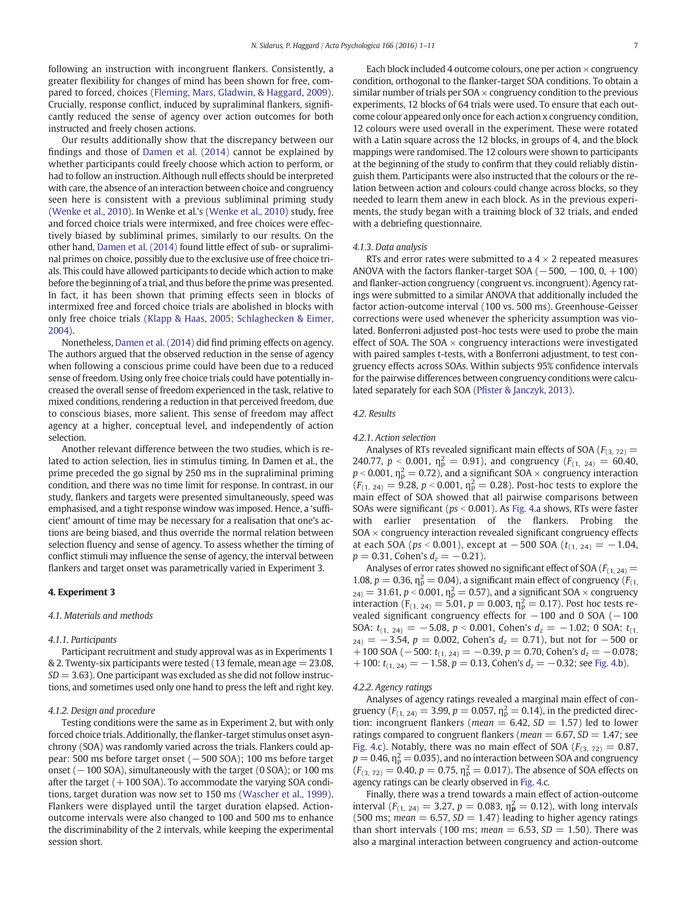following an instruction with incongruent flankers. Consistently, a greater flexibility for changes of mind has been shown for free, compared to forced, choices ([Fleming, Mars, Gladwin, & Haggard, 2009](#page-9-0)). Crucially, response conflict, induced by supraliminal flankers, significantly reduced the sense of agency over action outcomes for both instructed and freely chosen actions.

Our results additionally show that the discrepancy between our findings and those of [Damen et al. \(2014\)](#page-9-0) cannot be explained by whether participants could freely choose which action to perform, or had to follow an instruction. Although null effects should be interpreted with care, the absence of an interaction between choice and congruency seen here is consistent with a previous subliminal priming study [\(Wenke et al., 2010](#page-10-0)). In Wenke et al.'s [\(Wenke et al., 2010\)](#page-10-0) study, free and forced choice trials were intermixed, and free choices were effectively biased by subliminal primes, similarly to our results. On the other hand, [Damen et al. \(2014\)](#page-9-0) found little effect of sub- or supraliminal primes on choice, possibly due to the exclusive use of free choice trials. This could have allowed participants to decide which action to make before the beginning of a trial, and thus before the prime was presented. In fact, it has been shown that priming effects seen in blocks of intermixed free and forced choice trials are abolished in blocks with only free choice trials ([Klapp & Haas, 2005; Schlaghecken & Eimer,](#page-9-0) [2004](#page-9-0)).

Nonetheless, [Damen et al. \(2014\)](#page-9-0) did find priming effects on agency. The authors argued that the observed reduction in the sense of agency when following a conscious prime could have been due to a reduced sense of freedom. Using only free choice trials could have potentially increased the overall sense of freedom experienced in the task, relative to mixed conditions, rendering a reduction in that perceived freedom, due to conscious biases, more salient. This sense of freedom may affect agency at a higher, conceptual level, and independently of action selection.

Another relevant difference between the two studies, which is related to action selection, lies in stimulus timing. In Damen et al., the prime preceded the go signal by 250 ms in the supraliminal priming condition, and there was no time limit for response. In contrast, in our study, flankers and targets were presented simultaneously, speed was emphasised, and a tight response window was imposed. Hence, a 'sufficient' amount of time may be necessary for a realisation that one's actions are being biased, and thus override the normal relation between selection fluency and sense of agency. To assess whether the timing of conflict stimuli may influence the sense of agency, the interval between flankers and target onset was parametrically varied in Experiment 3.

#### 4. Experiment 3

#### 4.1. Materials and methods

#### 4.1.1. Participants

Participant recruitment and study approval was as in Experiments 1 & 2. Twenty-six participants were tested (13 female, mean age = 23.08,  $SD = 3.63$ ). One participant was excluded as she did not follow instructions, and sometimes used only one hand to press the left and right key.

#### 4.1.2. Design and procedure

Testing conditions were the same as in Experiment 2, but with only forced choice trials. Additionally, the flanker-target stimulus onset asynchrony (SOA) was randomly varied across the trials. Flankers could appear: 500 ms before target onset (−500 SOA); 100 ms before target onset  $(-100 SOA)$ , simultaneously with the target  $(0 SOA)$ ; or 100 ms after the target  $(+100 SOA)$ . To accommodate the varying SOA conditions, target duration was now set to 150 ms ([Wascher et al., 1999](#page-10-0)). Flankers were displayed until the target duration elapsed. Actionoutcome intervals were also changed to 100 and 500 ms to enhance the discriminability of the 2 intervals, while keeping the experimental session short.

Each block included 4 outcome colours, one per action  $\times$  congruency condition, orthogonal to the flanker-target SOA conditions. To obtain a similar number of trials per  $SOA \times$  congruency condition to the previous experiments, 12 blocks of 64 trials were used. To ensure that each outcome colour appeared only once for each action x congruency condition, 12 colours were used overall in the experiment. These were rotated with a Latin square across the 12 blocks, in groups of 4, and the block mappings were randomised. The 12 colours were shown to participants at the beginning of the study to confirm that they could reliably distinguish them. Participants were also instructed that the colours or the relation between action and colours could change across blocks, so they needed to learn them anew in each block. As in the previous experiments, the study began with a training block of 32 trials, and ended with a debriefing questionnaire.

#### 4.1.3. Data analysis

RTs and error rates were submitted to a  $4 \times 2$  repeated measures ANOVA with the factors flanker-target SOA ( $-500, -100, 0, +100$ ) and flanker-action congruency (congruent vs. incongruent). Agency ratings were submitted to a similar ANOVA that additionally included the factor action-outcome interval (100 vs. 500 ms). Greenhouse-Geisser corrections were used whenever the sphericity assumption was violated. Bonferroni adjusted post-hoc tests were used to probe the main effect of SOA. The SOA  $\times$  congruency interactions were investigated with paired samples t-tests, with a Bonferroni adjustment, to test congruency effects across SOAs. Within subjects 95% confidence intervals for the pairwise differences between congruency conditions were calculated separately for each SOA (Pfi[ster & Janczyk, 2013](#page-10-0)).

#### 4.2. Results

#### 4.2.1. Action selection

Analyses of RTs revealed significant main effects of SOA ( $F_{(3, 72)} =$ 240.77,  $p < 0.001$ ,  $\eta_{p}^{2} = 0.91$ ), and congruency ( $F_{(1, 24)} = 60.40$ ,  $p$  < 0.001,  $\eta_{\rm p}^2$   $=$  0.72), and a significant SOA  $\times$  congruency interaction  $(F_{(1, 24)} = 9.28, p < 0.001, \eta_{\rm p}^2 = 0.28)$ . Post-hoc tests to explore the main effect of SOA showed that all pairwise comparisons between SOAs were significant ( $ps < 0.001$ ). As [Fig. 4](#page-7-0).a shows, RTs were faster with earlier presentation of the flankers. Probing the  $SOA \times$  congruency interaction revealed significant congruency effects at each SOA (ps < 0.001), except at −500 SOA ( $t_{(1, 24)} = -1.04$ ,  $p = 0.31$ , Cohen's  $d_z = -0.21$ ).

Analyses of error rates showed no significant effect of SOA ( $F_{(1, 24)}$  = 1.08,  $p = 0.36$ ,  $\eta_{\rm p}^2 = 0.04$ ), a significant main effect of congruency ( $F_{(1)}$  $\alpha_{24}$  = 31.61, p < 0.001,  $\eta_{\rm p}^2$  = 0.57), and a significant SOA  $\times$  congruency interaction ( $F_{(1, 24)} = 5.01$ ,  $p = 0.003$ ,  $\eta_p^2 = 0.17$ ). Post hoc tests revealed significant congruency effects for −100 and 0 SOA (−100 SOA:  $t_{(1, 24)} = -5.08$ ,  $p < 0.001$ , Cohen's  $d_z = -1.02$ ; 0 SOA:  $t_{(1, 14)}$  $z_{24}$  = −3.54, p = 0.002, Cohen's  $d_z$  = 0.71), but not for −500 or +100 SOA (−500:  $t_{(1, 24)} = -0.39$ ,  $p = 0.70$ , Cohen's  $d_z = -0.078$ ; +100:  $t_{(1, 24)} = -1.58$ ,  $p = 0.13$ , Cohen's  $d_z = -0.32$ ; see [Fig. 4](#page-7-0).b).

#### 4.2.2. Agency ratings

Analyses of agency ratings revealed a marginal main effect of congruency ( $F_{(1, 24)} = 3.99$ ,  $p = 0.057$ ,  $\eta_p^2 = 0.14$ ), in the predicted direction: incongruent flankers (mean =  $6.42$ ,  $SD = 1.57$ ) led to lower ratings compared to congruent flankers (*mean* =  $6.67$ , *SD* =  $1.47$ ; see [Fig. 4.](#page-7-0)c). Notably, there was no main effect of SOA ( $F_{(3, 72)} = 0.87$ ,  $p = 0.46$ ,  $\eta_{\rm p}^2$   $= 0.035$ ), and no interaction between SOA and congruency  $(F_{(3, 72)} = 0.40, p = 0.75, \eta_{\rm p}^2 = 0.017)$ . The absence of SOA effects on agency ratings can be clearly observed in [Fig. 4.](#page-7-0)c.

Finally, there was a trend towards a main effect of action-outcome interval ( $F_{(1, 24)} = 3.27$ ,  $p = 0.083$ ,  $\eta_{\mathbf{p}}^2 = 0.12$ ), with long intervals (500 ms; mean  $= 6.57$ , SD  $= 1.47$ ) leading to higher agency ratings than short intervals (100 ms; mean  $= 6.53$ , SD  $= 1.50$ ). There was also a marginal interaction between congruency and action-outcome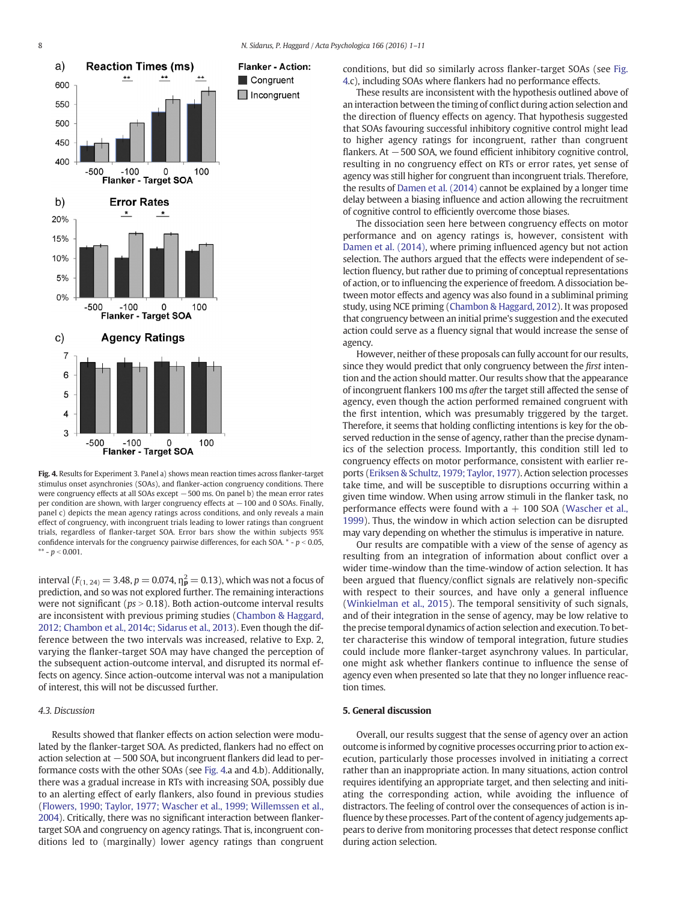<span id="page-7-0"></span>

Fig. 4. Results for Experiment 3. Panel a) shows mean reaction times across flanker-target stimulus onset asynchronies (SOAs), and flanker-action congruency conditions. There were congruency effects at all SOAs except −500 ms. On panel b) the mean error rates per condition are shown, with larger congruency effects at  $-100$  and 0 SOAs. Finally, panel c) depicts the mean agency ratings across conditions, and only reveals a main effect of congruency, with incongruent trials leading to lower ratings than congruent trials, regardless of flanker-target SOA. Error bars show the within subjects 95% confidence intervals for the congruency pairwise differences, for each SOA.  $*$  -  $p < 0.05$ , \*\* -  $p < 0.001$ .

interval ( $F_{(1, 24)} = 3.48$ ,  $p = 0.074$ ,  $\eta_{\bf p}^2 = 0.13$ ), which was not a focus of prediction, and so was not explored further. The remaining interactions were not significant ( $ps > 0.18$ ). Both action-outcome interval results are inconsistent with previous priming studies [\(Chambon & Haggard,](#page-9-0) [2012; Chambon et al., 2014c; Sidarus et al., 2013\)](#page-9-0). Even though the difference between the two intervals was increased, relative to Exp. 2, varying the flanker-target SOA may have changed the perception of the subsequent action-outcome interval, and disrupted its normal effects on agency. Since action-outcome interval was not a manipulation of interest, this will not be discussed further.

#### 4.3. Discussion

Results showed that flanker effects on action selection were modulated by the flanker-target SOA. As predicted, flankers had no effect on action selection at −500 SOA, but incongruent flankers did lead to performance costs with the other SOAs (see Fig. 4.a and 4.b). Additionally, there was a gradual increase in RTs with increasing SOA, possibly due to an alerting effect of early flankers, also found in previous studies [\(Flowers, 1990; Taylor, 1977; Wascher et al., 1999; Willemssen et al.,](#page-9-0) [2004\)](#page-9-0). Critically, there was no significant interaction between flankertarget SOA and congruency on agency ratings. That is, incongruent conditions led to (marginally) lower agency ratings than congruent conditions, but did so similarly across flanker-target SOAs (see Fig. 4.c), including SOAs where flankers had no performance effects.

These results are inconsistent with the hypothesis outlined above of an interaction between the timing of conflict during action selection and the direction of fluency effects on agency. That hypothesis suggested that SOAs favouring successful inhibitory cognitive control might lead to higher agency ratings for incongruent, rather than congruent flankers. At −500 SOA, we found efficient inhibitory cognitive control, resulting in no congruency effect on RTs or error rates, yet sense of agency was still higher for congruent than incongruent trials. Therefore, the results of [Damen et al. \(2014\)](#page-9-0) cannot be explained by a longer time delay between a biasing influence and action allowing the recruitment of cognitive control to efficiently overcome those biases.

The dissociation seen here between congruency effects on motor performance and on agency ratings is, however, consistent with [Damen et al. \(2014\)](#page-9-0), where priming influenced agency but not action selection. The authors argued that the effects were independent of selection fluency, but rather due to priming of conceptual representations of action, or to influencing the experience of freedom. A dissociation between motor effects and agency was also found in a subliminal priming study, using NCE priming ([Chambon & Haggard, 2012\)](#page-9-0). It was proposed that congruency between an initial prime's suggestion and the executed action could serve as a fluency signal that would increase the sense of agency.

However, neither of these proposals can fully account for our results, since they would predict that only congruency between the first intention and the action should matter. Our results show that the appearance of incongruent flankers 100 ms after the target still affected the sense of agency, even though the action performed remained congruent with the first intention, which was presumably triggered by the target. Therefore, it seems that holding conflicting intentions is key for the observed reduction in the sense of agency, rather than the precise dynamics of the selection process. Importantly, this condition still led to congruency effects on motor performance, consistent with earlier reports [\(Eriksen & Schultz, 1979; Taylor, 1977](#page-9-0)). Action selection processes take time, and will be susceptible to disruptions occurring within a given time window. When using arrow stimuli in the flanker task, no performance effects were found with  $a + 100$  SOA ([Wascher et al.,](#page-10-0) [1999](#page-10-0)). Thus, the window in which action selection can be disrupted may vary depending on whether the stimulus is imperative in nature.

Our results are compatible with a view of the sense of agency as resulting from an integration of information about conflict over a wider time-window than the time-window of action selection. It has been argued that fluency/conflict signals are relatively non-specific with respect to their sources, and have only a general influence [\(Winkielman et al., 2015\)](#page-10-0). The temporal sensitivity of such signals, and of their integration in the sense of agency, may be low relative to the precise temporal dynamics of action selection and execution. To better characterise this window of temporal integration, future studies could include more flanker-target asynchrony values. In particular, one might ask whether flankers continue to influence the sense of agency even when presented so late that they no longer influence reaction times.

#### 5. General discussion

Overall, our results suggest that the sense of agency over an action outcome is informed by cognitive processes occurring prior to action execution, particularly those processes involved in initiating a correct rather than an inappropriate action. In many situations, action control requires identifying an appropriate target, and then selecting and initiating the corresponding action, while avoiding the influence of distractors. The feeling of control over the consequences of action is influence by these processes. Part of the content of agency judgements appears to derive from monitoring processes that detect response conflict during action selection.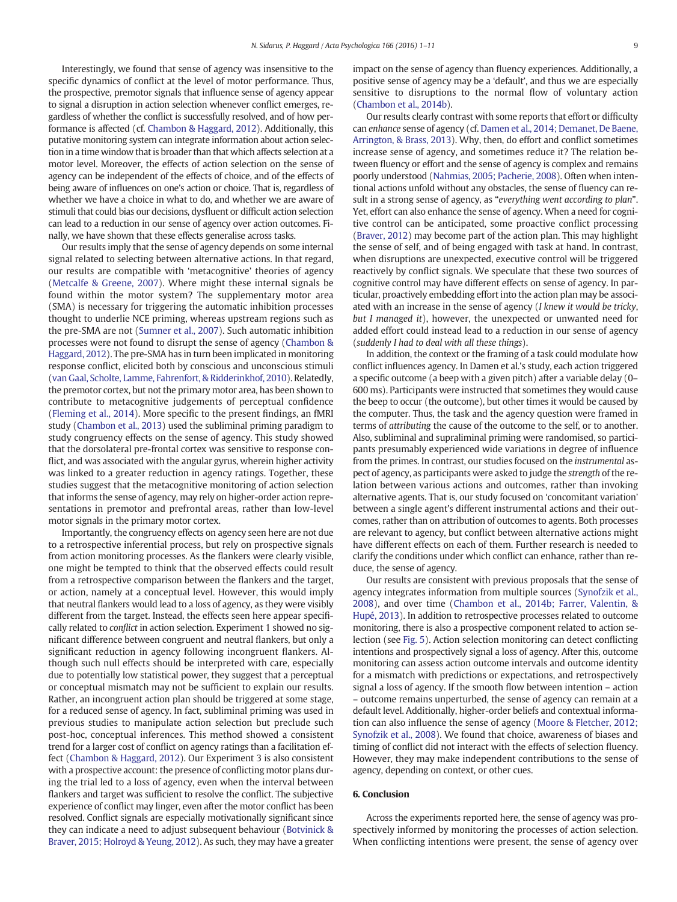Interestingly, we found that sense of agency was insensitive to the specific dynamics of conflict at the level of motor performance. Thus, the prospective, premotor signals that influence sense of agency appear to signal a disruption in action selection whenever conflict emerges, regardless of whether the conflict is successfully resolved, and of how performance is affected (cf. [Chambon & Haggard, 2012\)](#page-9-0). Additionally, this putative monitoring system can integrate information about action selection in a time window that is broader than that which affects selection at a motor level. Moreover, the effects of action selection on the sense of agency can be independent of the effects of choice, and of the effects of being aware of influences on one's action or choice. That is, regardless of whether we have a choice in what to do, and whether we are aware of stimuli that could bias our decisions, dysfluent or difficult action selection can lead to a reduction in our sense of agency over action outcomes. Finally, we have shown that these effects generalise across tasks.

Our results imply that the sense of agency depends on some internal signal related to selecting between alternative actions. In that regard, our results are compatible with 'metacognitive' theories of agency [\(Metcalfe & Greene, 2007\)](#page-10-0). Where might these internal signals be found within the motor system? The supplementary motor area (SMA) is necessary for triggering the automatic inhibition processes thought to underlie NCE priming, whereas upstream regions such as the pre-SMA are not [\(Sumner et al., 2007](#page-10-0)). Such automatic inhibition processes were not found to disrupt the sense of agency [\(Chambon &](#page-9-0) [Haggard, 2012\)](#page-9-0). The pre-SMA has in turn been implicated in monitoring response conflict, elicited both by conscious and unconscious stimuli [\(van Gaal, Scholte, Lamme, Fahrenfort, & Ridderinkhof, 2010](#page-10-0)). Relatedly, the premotor cortex, but not the primary motor area, has been shown to contribute to metacognitive judgements of perceptual confidence [\(Fleming et al., 2014](#page-9-0)). More specific to the present findings, an fMRI study ([Chambon et al., 2013](#page-9-0)) used the subliminal priming paradigm to study congruency effects on the sense of agency. This study showed that the dorsolateral pre-frontal cortex was sensitive to response conflict, and was associated with the angular gyrus, wherein higher activity was linked to a greater reduction in agency ratings. Together, these studies suggest that the metacognitive monitoring of action selection that informs the sense of agency, may rely on higher-order action representations in premotor and prefrontal areas, rather than low-level motor signals in the primary motor cortex.

Importantly, the congruency effects on agency seen here are not due to a retrospective inferential process, but rely on prospective signals from action monitoring processes. As the flankers were clearly visible, one might be tempted to think that the observed effects could result from a retrospective comparison between the flankers and the target, or action, namely at a conceptual level. However, this would imply that neutral flankers would lead to a loss of agency, as they were visibly different from the target. Instead, the effects seen here appear specifically related to conflict in action selection. Experiment 1 showed no significant difference between congruent and neutral flankers, but only a significant reduction in agency following incongruent flankers. Although such null effects should be interpreted with care, especially due to potentially low statistical power, they suggest that a perceptual or conceptual mismatch may not be sufficient to explain our results. Rather, an incongruent action plan should be triggered at some stage, for a reduced sense of agency. In fact, subliminal priming was used in previous studies to manipulate action selection but preclude such post-hoc, conceptual inferences. This method showed a consistent trend for a larger cost of conflict on agency ratings than a facilitation effect [\(Chambon & Haggard, 2012](#page-9-0)). Our Experiment 3 is also consistent with a prospective account: the presence of conflicting motor plans during the trial led to a loss of agency, even when the interval between flankers and target was sufficient to resolve the conflict. The subjective experience of conflict may linger, even after the motor conflict has been resolved. Conflict signals are especially motivationally significant since they can indicate a need to adjust subsequent behaviour [\(Botvinick &](#page-9-0) [Braver, 2015; Holroyd & Yeung, 2012](#page-9-0)). As such, they may have a greater impact on the sense of agency than fluency experiences. Additionally, a positive sense of agency may be a 'default', and thus we are especially sensitive to disruptions to the normal flow of voluntary action [\(Chambon et al., 2014b](#page-9-0)).

Our results clearly contrast with some reports that effort or difficulty can enhance sense of agency (cf. [Damen et al., 2014; Demanet, De Baene,](#page-9-0) [Arrington, & Brass, 2013](#page-9-0)). Why, then, do effort and conflict sometimes increase sense of agency, and sometimes reduce it? The relation between fluency or effort and the sense of agency is complex and remains poorly understood [\(Nahmias, 2005; Pacherie, 2008\)](#page-10-0). Often when intentional actions unfold without any obstacles, the sense of fluency can result in a strong sense of agency, as "everything went according to plan". Yet, effort can also enhance the sense of agency. When a need for cognitive control can be anticipated, some proactive conflict processing [\(Braver, 2012\)](#page-9-0) may become part of the action plan. This may highlight the sense of self, and of being engaged with task at hand. In contrast, when disruptions are unexpected, executive control will be triggered reactively by conflict signals. We speculate that these two sources of cognitive control may have different effects on sense of agency. In particular, proactively embedding effort into the action plan may be associated with an increase in the sense of agency (I knew it would be tricky, but I managed it), however, the unexpected or unwanted need for added effort could instead lead to a reduction in our sense of agency (suddenly I had to deal with all these things).

In addition, the context or the framing of a task could modulate how conflict influences agency. In Damen et al.'s study, each action triggered a specific outcome (a beep with a given pitch) after a variable delay (0– 600 ms). Participants were instructed that sometimes they would cause the beep to occur (the outcome), but other times it would be caused by the computer. Thus, the task and the agency question were framed in terms of attributing the cause of the outcome to the self, or to another. Also, subliminal and supraliminal priming were randomised, so participants presumably experienced wide variations in degree of influence from the primes. In contrast, our studies focused on the instrumental aspect of agency, as participants were asked to judge the strength of the relation between various actions and outcomes, rather than invoking alternative agents. That is, our study focused on 'concomitant variation' between a single agent's different instrumental actions and their outcomes, rather than on attribution of outcomes to agents. Both processes are relevant to agency, but conflict between alternative actions might have different effects on each of them. Further research is needed to clarify the conditions under which conflict can enhance, rather than reduce, the sense of agency.

Our results are consistent with previous proposals that the sense of agency integrates information from multiple sources ([Synofzik et al.,](#page-10-0) [2008\)](#page-10-0), and over time [\(Chambon et al., 2014b; Farrer, Valentin, &](#page-9-0) [Hupé, 2013](#page-9-0)). In addition to retrospective processes related to outcome monitoring, there is also a prospective component related to action selection (see [Fig. 5\)](#page-9-0). Action selection monitoring can detect conflicting intentions and prospectively signal a loss of agency. After this, outcome monitoring can assess action outcome intervals and outcome identity for a mismatch with predictions or expectations, and retrospectively signal a loss of agency. If the smooth flow between intention – action – outcome remains unperturbed, the sense of agency can remain at a default level. Additionally, higher-order beliefs and contextual information can also influence the sense of agency ([Moore & Fletcher, 2012;](#page-10-0) [Synofzik et al., 2008\)](#page-10-0). We found that choice, awareness of biases and timing of conflict did not interact with the effects of selection fluency. However, they may make independent contributions to the sense of agency, depending on context, or other cues.

#### 6. Conclusion

Across the experiments reported here, the sense of agency was prospectively informed by monitoring the processes of action selection. When conflicting intentions were present, the sense of agency over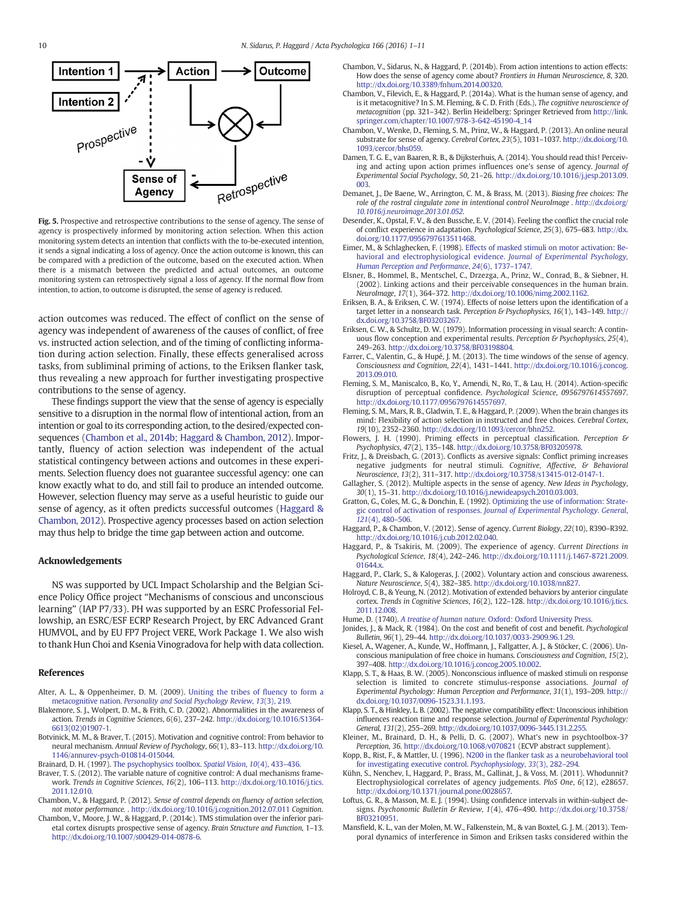<span id="page-9-0"></span>

Fig. 5. Prospective and retrospective contributions to the sense of agency. The sense of agency is prospectively informed by monitoring action selection. When this action monitoring system detects an intention that conflicts with the to-be-executed intention, it sends a signal indicating a loss of agency. Once the action outcome is known, this can be compared with a prediction of the outcome, based on the executed action. When there is a mismatch between the predicted and actual outcomes, an outcome monitoring system can retrospectively signal a loss of agency. If the normal flow from intention, to action, to outcome is disrupted, the sense of agency is reduced.

action outcomes was reduced. The effect of conflict on the sense of agency was independent of awareness of the causes of conflict, of free vs. instructed action selection, and of the timing of conflicting information during action selection. Finally, these effects generalised across tasks, from subliminal priming of actions, to the Eriksen flanker task, thus revealing a new approach for further investigating prospective contributions to the sense of agency.

These findings support the view that the sense of agency is especially sensitive to a disruption in the normal flow of intentional action, from an intention or goal to its corresponding action, to the desired/expected consequences (Chambon et al., 2014b; Haggard & Chambon, 2012). Importantly, fluency of action selection was independent of the actual statistical contingency between actions and outcomes in these experiments. Selection fluency does not guarantee successful agency: one can know exactly what to do, and still fail to produce an intended outcome. However, selection fluency may serve as a useful heuristic to guide our sense of agency, as it often predicts successful outcomes (Haggard & Chambon, 2012). Prospective agency processes based on action selection may thus help to bridge the time gap between action and outcome.

#### Acknowledgements

NS was supported by UCL Impact Scholarship and the Belgian Science Policy Office project "Mechanisms of conscious and unconscious learning" (IAP P7/33). PH was supported by an ESRC Professorial Fellowship, an ESRC/ESF ECRP Research Project, by ERC Advanced Grant HUMVOL, and by EU FP7 Project VERE, Work Package 1. We also wish to thank Hun Choi and Ksenia Vinogradova for help with data collection.

#### References

- Alter, A. L., & Oppenheimer, D. M. (2009). [Uniting the tribes of](http://refhub.elsevier.com/S0001-6918(16)30047-6/rf0005) fluency to form a metacognitive nation. [Personality and Social Psychology Review](http://refhub.elsevier.com/S0001-6918(16)30047-6/rf0005), 13(3), 219.
- Blakemore, S. J., Wolpert, D. M., & Frith, C. D. (2002). Abnormalities in the awareness of action. Trends in Cognitive Sciences, 6(6), 237–242. http://dx.doi.org/[10.1016/S1364-](http://dx.doi.org/10.1016/S1364-6613(02)01907-1) [6613\(02\)01907-1](http://dx.doi.org/10.1016/S1364-6613(02)01907-1).
- Botvinick, M. M., & Braver, T. (2015). Motivation and cognitive control: From behavior to neural mechanism. Annual Review of Psychology, 66(1), 83–113. http://dx.doi.org[/10.](http://dx.doi.org/10.1146/annurev-psych-010814-015044) [1146/annurev-psych-010814-015044](http://dx.doi.org/10.1146/annurev-psych-010814-015044).
- Brainard, D. H. (1997). [The psychophysics toolbox.](http://refhub.elsevier.com/S0001-6918(16)30047-6/rf0025) Spatial Vision, 10(4), 433–436.
- Braver, T. S. (2012). The variable nature of cognitive control: A dual mechanisms framework. Trends in Cognitive Sciences, 16(2), 106–113. http://dx.doi.org/[10.1016/j.tics.](http://dx.doi.org/10.1016/j.tics.2011.12.010) [2011.12.010](http://dx.doi.org/10.1016/j.tics.2011.12.010).
- Chambon, V., & Haggard, P. (2012). Sense of control depends on fluency of action selection, not motor performance. . http://dx.doi.org[/10.1016/j.cognition.2012.07.011](http://dx.doi.org/10.1016/j.cognition.2012.07.011) Cognition.
- Chambon, V., Moore, J. W., & Haggard, P. (2014c). TMS stimulation over the inferior parietal cortex disrupts prospective sense of agency. Brain Structure and Function, 1–13. http://dx.doi.org[/10.1007/s00429-014-0878-6.](http://dx.doi.org/10.1007/s00429-014-0878-6)
- Chambon, V., Sidarus, N., & Haggard, P. (2014b). From action intentions to action effects: How does the sense of agency come about? Frontiers in Human Neuroscience, 8, 320. http://dx.doi.org[/10.3389/fnhum.2014.00320](http://dx.doi.org/10.3389/fnhum.2014.00320).
- Chambon, V., Filevich, E., & Haggard, P. (2014a). What is the human sense of agency, and is it metacognitive? In S. M. Fleming, & C. D. Frith (Eds.), The cognitive neuroscience of metacognition (pp. 321–342). Berlin Heidelberg: Springer Retrieved from [http://link.](http://link.springer.com/chapter/10.1007/978-3-642-45190-4_14) [springer.com/chapter/10.1007/978-3-642-45190-4\\_14](http://link.springer.com/chapter/10.1007/978-3-642-45190-4_14)
- Chambon, V., Wenke, D., Fleming, S. M., Prinz, W., & Haggard, P. (2013). An online neural substrate for sense of agency. Cerebral Cortex, 23(5), 1031–1037. http://dx.doi.org[/10.](http://dx.doi.org/10.1093/cercor/bhs059) [1093/cercor/bhs059](http://dx.doi.org/10.1093/cercor/bhs059).
- Damen, T. G. E., van Baaren, R. B., & Dijksterhuis, A. (2014). You should read this! Perceiving and acting upon action primes influences one's sense of agency. Journal of Experimental Social Psychology, 50, 21–26. http://dx.doi.org[/10.1016/j.jesp.2013.09.](http://dx.doi.org/10.1016/j.jesp.2013.09.003) [003](http://dx.doi.org/10.1016/j.jesp.2013.09.003).
- Demanet, J., De Baene, W., Arrington, C. M., & Brass, M. (2013). Biasing free choices: The role of the rostral cingulate zone in intentional control NeuroImage . http://dx.doi.org/
- [10.1016/j.neuroimage.2013.01.052](http://dx.doi.org/10.1016/j.neuroimage.2013.01.052). Desender, K., Opstal, F. V., & den Bussche, E. V. (2014). Feeling the conflict the crucial role of conflict experience in adaptation. Psychological Science, 25(3), 675–683. http://dx. doi.org/[10.1177/0956797613511468](http://dx.doi.org/10.1177/0956797613511468).
- Eimer, M., & Schlaghecken, F. (1998). [Effects of masked stimuli on motor activation: Be](http://refhub.elsevier.com/S0001-6918(16)30047-6/rf0080)[havioral and electrophysiological evidence.](http://refhub.elsevier.com/S0001-6918(16)30047-6/rf0080) Journal of Experimental Psychology, [Human Perception and Performance](http://refhub.elsevier.com/S0001-6918(16)30047-6/rf0080), 24(6), 1737–1747.
- Elsner, B., Hommel, B., Mentschel, C., Drzezga, A., Prinz, W., Conrad, B., & Siebner, H. (2002). Linking actions and their perceivable consequences in the human brain. NeuroImage, 17(1), 364–372. http://dx.doi.org[/10.1006/nimg.2002.1162.](http://dx.doi.org/10.1006/nimg.2002.1162)
- Eriksen, B. A., & Eriksen, C. W. (1974). Effects of noise letters upon the identification of a target letter in a nonsearch task. Perception & Psychophysics, 16(1), 143-149. http:// dx.doi.org[/10.3758/BF03203267](http://dx.doi.org/10.3758/BF03203267).
- Eriksen, C. W., & Schultz, D. W. (1979). Information processing in visual search: A continuous flow conception and experimental results. Perception & Psychophysics, 25(4), 249–263. http://dx.doi.org/[10.3758/BF03198804.](http://dx.doi.org/10.3758/BF03198804)
- Farrer, C., Valentin, G., & Hupé, J. M. (2013). The time windows of the sense of agency. Consciousness and Cognition, 22(4), 1431–1441. http://dx.doi.org[/10.1016/j.concog.](http://dx.doi.org/10.1016/j.concog.2013.09.010) [2013.09.010](http://dx.doi.org/10.1016/j.concog.2013.09.010).
- Fleming, S. M., Maniscalco, B., Ko, Y., Amendi, N., Ro, T., & Lau, H. (2014). Action-specific disruption of perceptual confidence. Psychological Science, 0956797614557697. http://dx.doi.org[/10.1177/0956797614557697](http://dx.doi.org/10.1177/0956797614557697).
- Fleming, S. M., Mars, R. B., Gladwin, T. E., & Haggard, P. (2009). When the brain changes its mind: Flexibility of action selection in instructed and free choices. Cerebral Cortex, 19(10), 2352–2360. http://dx.doi.org[/10.1093/cercor/bhn252.](http://dx.doi.org/10.1093/cercor/bhn252)
- Flowers, J. H. (1990). Priming effects in perceptual classification. Perception & Psychophysics, 47(2), 135–148. http://dx.doi.org[/10.3758/BF03205978](http://dx.doi.org/10.3758/BF03205978).
- Fritz, J., & Dreisbach, G. (2013). Conflicts as aversive signals: Conflict priming increases negative judgments for neutral stimuli. Cognitive, Affective, & Behavioral Neuroscience, 13(2), 311–317. http://dx.doi.org/[10.3758/s13415-012-0147-1](http://dx.doi.org/10.3758/s13415-012-0147-1).
- Gallagher, S. (2012). Multiple aspects in the sense of agency. New Ideas in Psychology, 30(1), 15–31. http://dx.doi.org/[10.1016/j.newideapsych.2010.03.003](http://dx.doi.org/10.1016/j.newideapsych.2010.03.003).
- Gratton, G., Coles, M. G., & Donchin, E. (1992). [Optimizing the use of information: Strate](http://refhub.elsevier.com/S0001-6918(16)30047-6/rf0130)gic control of activation of responses. [Journal of Experimental Psychology. General](http://refhub.elsevier.com/S0001-6918(16)30047-6/rf0130), 121[\(4\), 480](http://refhub.elsevier.com/S0001-6918(16)30047-6/rf0130)–506.
- Haggard, P., & Chambon, V. (2012). Sense of agency. Current Biology, 22(10), R390-R392. http://dx.doi.org[/10.1016/j.cub.2012.02.040.](http://dx.doi.org/10.1016/j.cub.2012.02.040)
- Haggard, P., & Tsakiris, M. (2009). The experience of agency. Current Directions in Psychological Science, 18(4), 242–246. http://dx.doi.org/[10.1111/j.1467-8721.2009.](http://dx.doi.org/10.1111/j.1467-8721.2009.01644.x) [01644.x](http://dx.doi.org/10.1111/j.1467-8721.2009.01644.x)
- Haggard, P., Clark, S., & Kalogeras, J. (2002). Voluntary action and conscious awareness. Nature Neuroscience, 5(4), 382–385. http://dx.doi.org/[10.1038/nn827](http://dx.doi.org/10.1038/nn827).
- Holroyd, C. B., & Yeung, N. (2012). Motivation of extended behaviors by anterior cingulate cortex. Trends in Cognitive Sciences, 16(2), 122–128. http://dx.doi.org[/10.1016/j.tics.](http://dx.doi.org/10.1016/j.tics.2011.12.008) [2011.12.008](http://dx.doi.org/10.1016/j.tics.2011.12.008).
- Hume, D. (1740). A treatise of human nature. [Oxford: Oxford University Press.](http://refhub.elsevier.com/S0001-6918(16)30047-6/rf0150)
- Jonides, J., & Mack, R. (1984). On the cost and benefit of cost and benefit. Psychological Bulletin, 96(1), 29–44. http://dx.doi.org/[10.1037/0033-2909.96.1.29](http://dx.doi.org/10.1037/0033-2909.96.1.29).
- Kiesel, A., Wagener, A., Kunde, W., Hoffmann, J., Fallgatter, A. J., & Stöcker, C. (2006). Unconscious manipulation of free choice in humans. Consciousness and Cognition, 15(2), 397–408. http://dx.doi.org/[10.1016/j.concog.2005.10.002.](http://dx.doi.org/10.1016/j.concog.2005.10.002)
- Klapp, S. T., & Haas, B. W. (2005). Nonconscious influence of masked stimuli on response selection is limited to concrete stimulus-response associations. Journal of Experimental Psychology: Human Perception and Performance, 31(1), 193–209. http:// dx.doi.org[/10.1037/0096-1523.31.1.193](http://dx.doi.org/10.1037/0096-1523.31.1.193).
- Klapp, S. T., & Hinkley, L. B. (2002). The negative compatibility effect: Unconscious inhibition influences reaction time and response selection. Journal of Experimental Psychology: General, 131(2), 255–269. http://dx.doi.org[/10.1037/0096-3445.131.2.255](http://dx.doi.org/10.1037/0096-3445.131.2.255).
- Kleiner, M., Brainard, D. H., & Pelli, D. G. (2007). What's new in psychtoolbox-3? Perception, 36. http://dx.doi.org[/10.1068/v070821](http://dx.doi.org/10.1068/v070821) (ECVP abstract supplement).
- Kopp, B., Rist, F., & Mattler, U. (1996). N200 in the fl[anker task as a neurobehavioral tool](http://refhub.elsevier.com/S0001-6918(16)30047-6/rf0180) [for investigating executive control.](http://refhub.elsevier.com/S0001-6918(16)30047-6/rf0180) Psychophysiology, 33(3), 282–294.
- Kühn, S., Nenchev, I., Haggard, P., Brass, M., Gallinat, J., & Voss, M. (2011). Whodunnit? Electrophysiological correlates of agency judgements. PloS One, 6(12), e28657. http://dx.doi.org[/10.1371/journal.pone.0028657](http://dx.doi.org/10.1371/journal.pone.0028657).
- Loftus, G. R., & Masson, M. E. J. (1994). Using confidence intervals in within-subject de-signs. Psychonomic Bulletin & Review, 1(4), 476-490. http://dx.doi.org/[10.3758/](http://dx.doi.org/10.3758/BF03210951) [BF03210951.](http://dx.doi.org/10.3758/BF03210951)
- Mansfield, K. L., van der Molen, M. W., Falkenstein, M., & van Boxtel, G. J. M. (2013). Temporal dynamics of interference in Simon and Eriksen tasks considered within the